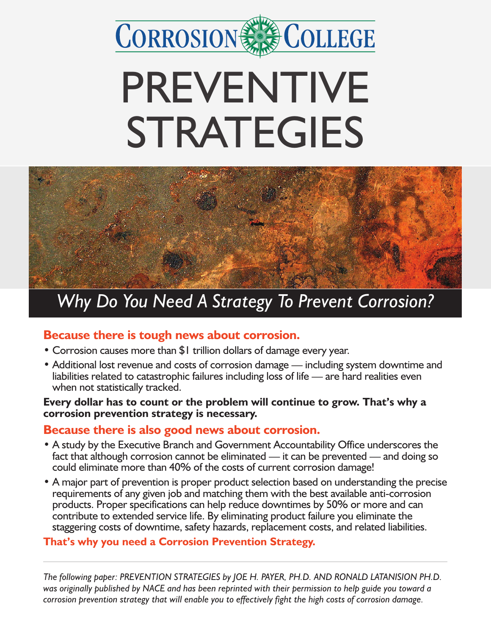

# PREVENTIVE STRATEGIES



### *Why Do You Need A Strategy To Prevent Corrosion?*

#### **Because there is tough news about corrosion.**

- Corrosion causes more than \$1 trillion dollars of damage every year.
- Additional lost revenue and costs of corrosion damage including system downtime and liabilities related to catastrophic failures including loss of life — are hard realities even when not statistically tracked.

#### **Every dollar has to count or the problem will continue to grow. That's why a corrosion prevention strategy is necessary.**

#### **Because there is also good news about corrosion.**

- A study by the Executive Branch and Government Accountability Office underscores the fact that although corrosion cannot be eliminated — it can be prevented — and doing so could eliminate more than 40% of the costs of current corrosion damage!
- A major part of prevention is proper product selection based on understanding the precise requirements of any given job and matching them with the best available anti-corrosion products. Proper specifications can help reduce downtimes by 50% or more and can contribute to extended service life. By eliminating product failure you eliminate the staggering costs of downtime, safety hazards, replacement costs, and related liabilities.

#### **That's why you need a Corrosion Prevention Strategy.**

*The following paper: PREVENTION STRATEGIES by JOE H. PAYER, PH.D. AND RONALD LATANISION PH.D. was originally published by NACE and has been reprinted with their permission to help guide you toward a corrosion prevention strategy that will enable you to effectively fight the high costs of corrosion damage.*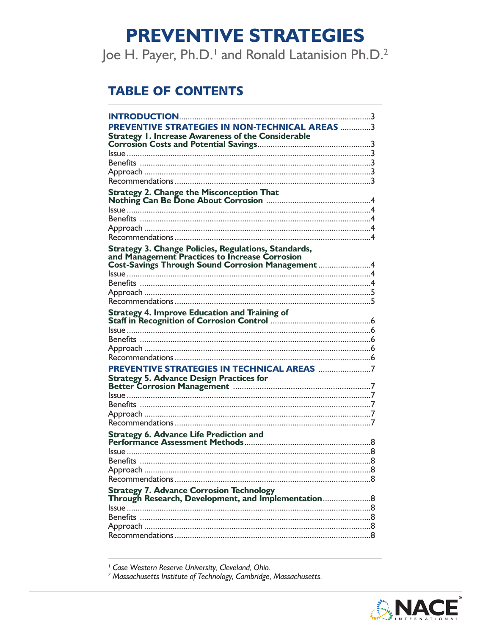### **PREVENTIVE STRATEGIES**

Joe H. Payer, Ph.D.<sup>1</sup> and Ronald Latanision Ph.D.<sup>2</sup>

#### **TABLE OF CONTENTS**

| <b>INTRODUCTION</b><br><b>PREVENTIVE STRATEGIES IN NON-TECHNICAL AREAS 3</b>                                  | 3 |
|---------------------------------------------------------------------------------------------------------------|---|
| <b>Strategy 1. Increase Awareness of the Considerable</b>                                                     |   |
|                                                                                                               |   |
|                                                                                                               |   |
|                                                                                                               |   |
|                                                                                                               |   |
|                                                                                                               |   |
|                                                                                                               |   |
|                                                                                                               |   |
|                                                                                                               |   |
|                                                                                                               |   |
|                                                                                                               |   |
|                                                                                                               |   |
| <b>Strategy 3. Change Policies, Regulations, Standards,</b><br>and Management Practices to Increase Corrosion |   |
| Cost-Savings Through Sound Corrosion Management 4                                                             |   |
|                                                                                                               |   |
|                                                                                                               |   |
|                                                                                                               |   |
|                                                                                                               |   |
| <b>Strategy 4. Improve Education and Training of</b>                                                          |   |
|                                                                                                               |   |
|                                                                                                               |   |
|                                                                                                               |   |
|                                                                                                               |   |
| PREVENTIVE STRATEGIES IN TECHNICAL AREAS 7                                                                    |   |
| <b>Strategy 5. Advance Design Practices for</b>                                                               |   |
|                                                                                                               |   |
|                                                                                                               |   |
|                                                                                                               |   |
|                                                                                                               |   |
| <b>Strategy 6. Advance Life Prediction and</b>                                                                |   |
|                                                                                                               |   |
|                                                                                                               |   |
| Approach                                                                                                      |   |
|                                                                                                               |   |
| Strategy 7. Advance Corrosion Technology<br>Through Research, Development, and Implementation8                |   |
|                                                                                                               |   |
|                                                                                                               |   |
|                                                                                                               |   |
|                                                                                                               |   |
|                                                                                                               |   |

<sup>1</sup> Case Western Reserve University, Cleveland, Ohio.<br><sup>2</sup> Massachusetts Institute of Technology, Cambridge, Massachusetts.

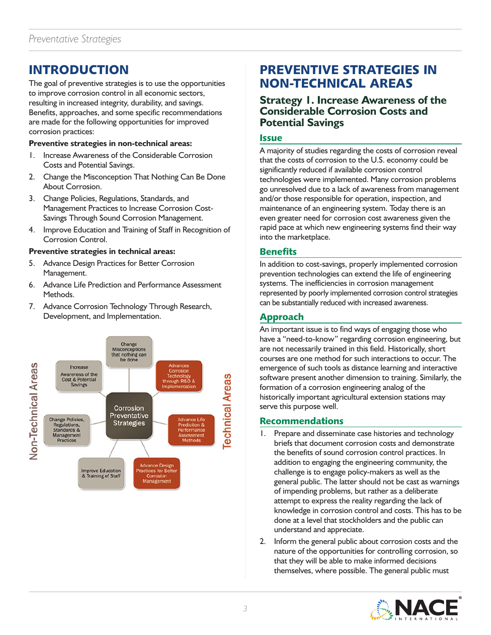#### **INTRODUCTION**

The goal of preventive strategies is to use the opportunities to improve corrosion control in all economic sectors, resulting in increased integrity, durability, and savings. Benefits, approaches, and some specific recommendations are made for the following opportunities for improved corrosion practices:

#### **Preventive strategies in non-technical areas:**

- 1. Increase Awareness of the Considerable Corrosion Costs and Potential Savings.
- 2. Change the Misconception That Nothing Can Be Done About Corrosion.
- 3. Change Policies, Regulations, Standards, and Management Practices to Increase Corrosion Cost-Savings Through Sound Corrosion Management.
- 4. Improve Education and Training of Staff in Recognition of Corrosion Control.

#### **Preventive strategies in technical areas:**

- 5. Advance Design Practices for Better Corrosion Management.
- 6. Advance Life Prediction and Performance Assessment Methods.
- 7. Advance Corrosion Technology Through Research, Development, and Implementation.



#### **PREVENTIVE STRATEGIES IN NON-TECHNICAL AREAS**

#### **Strategy 1. Increase Awareness of the Considerable Corrosion Costs and Potential Savings**

#### **Issue**

A majority of studies regarding the costs of corrosion reveal that the costs of corrosion to the U.S. economy could be significantly reduced if available corrosion control technologies were implemented. Many corrosion problems go unresolved due to a lack of awareness from management and/or those responsible for operation, inspection, and maintenance of an engineering system. Today there is an even greater need for corrosion cost awareness given the rapid pace at which new engineering systems find their way into the marketplace.

#### **Benefits**

In addition to cost-savings, properly implemented corrosion prevention technologies can extend the life of engineering systems. The inefficiencies in corrosion management represented by poorly implemented corrosion control strategies can be substantially reduced with increased awareness.

#### **Approach**

An important issue is to find ways of engaging those who have a "need-to-know" regarding corrosion engineering, but are not necessarily trained in this field. Historically, short courses are one method for such interactions to occur. The emergence of such tools as distance learning and interactive software present another dimension to training. Similarly, the formation of a corrosion engineering analog of the historically important agricultural extension stations may serve this purpose well.

#### **Recommendations**

- 1. Prepare and disseminate case histories and technology briefs that document corrosion costs and demonstrate the benefits of sound corrosion control practices. In addition to engaging the engineering community, the challenge is to engage policy-makers as well as the general public. The latter should not be cast as warnings of impending problems, but rather as a deliberate attempt to express the reality regarding the lack of knowledge in corrosion control and costs. This has to be done at a level that stockholders and the public can understand and appreciate.
- 2. Inform the general public about corrosion costs and the nature of the opportunities for controlling corrosion, so that they will be able to make informed decisions themselves, where possible. The general public must

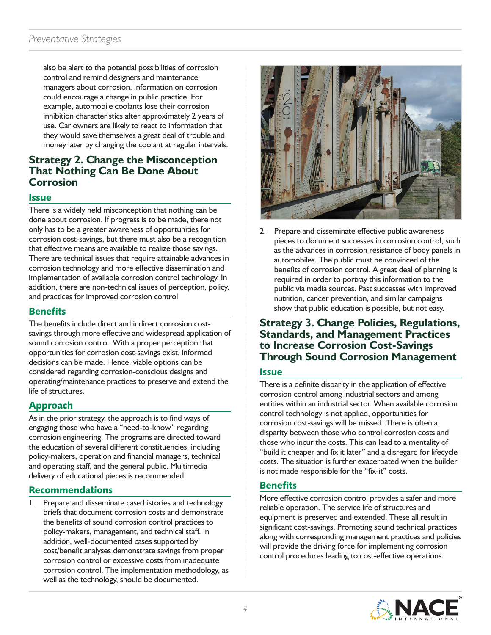also be alert to the potential possibilities of corrosion control and remind designers and maintenance managers about corrosion. Information on corrosion could encourage a change in public practice. For example, automobile coolants lose their corrosion inhibition characteristics after approximately 2 years of use. Car owners are likely to react to information that they would save themselves a great deal of trouble and money later by changing the coolant at regular intervals.

#### **Strategy 2. Change the Misconception That Nothing Can Be Done About Corrosion**

#### **Issue**

There is a widely held misconception that nothing can be done about corrosion. If progress is to be made, there not only has to be a greater awareness of opportunities for corrosion cost-savings, but there must also be a recognition that effective means are available to realize those savings. There are technical issues that require attainable advances in corrosion technology and more effective dissemination and implementation of available corrosion control technology. In addition, there are non-technical issues of perception, policy, and practices for improved corrosion control

#### **Benefits**

The benefits include direct and indirect corrosion costsavings through more effective and widespread application of sound corrosion control. With a proper perception that opportunities for corrosion cost-savings exist, informed decisions can be made. Hence, viable options can be considered regarding corrosion-conscious designs and operating/maintenance practices to preserve and extend the life of structures.

#### **Approach**

As in the prior strategy, the approach is to find ways of engaging those who have a "need-to-know" regarding corrosion engineering. The programs are directed toward the education of several different constituencies, including policy-makers, operation and financial managers, technical and operating staff, and the general public. Multimedia delivery of educational pieces is recommended.

#### **Recommendations**

1. Prepare and disseminate case histories and technology briefs that document corrosion costs and demonstrate the benefits of sound corrosion control practices to policy-makers, management, and technical staff. In addition, well-documented cases supported by cost/benefit analyses demonstrate savings from proper corrosion control or excessive costs from inadequate corrosion control. The implementation methodology, as well as the technology, should be documented.



2. Prepare and disseminate effective public awareness pieces to document successes in corrosion control, such as the advances in corrosion resistance of body panels in automobiles. The public must be convinced of the benefits of corrosion control. A great deal of planning is required in order to portray this information to the public via media sources. Past successes with improved nutrition, cancer prevention, and similar campaigns show that public education is possible, but not easy.

#### **Strategy 3. Change Policies, Regulations, Standards, and Management Practices to Increase Corrosion Cost-Savings Through Sound Corrosion Management**

#### **Issue**

There is a definite disparity in the application of effective corrosion control among industrial sectors and among entities within an industrial sector. When available corrosion control technology is not applied, opportunities for corrosion cost-savings will be missed. There is often a disparity between those who control corrosion costs and those who incur the costs. This can lead to a mentality of "build it cheaper and fix it later" and a disregard for lifecycle costs. The situation is further exacerbated when the builder is not made responsible for the "fix-it" costs.

#### **Benefits**

More effective corrosion control provides a safer and more reliable operation. The service life of structures and equipment is preserved and extended. These all result in significant cost-savings. Promoting sound technical practices along with corresponding management practices and policies will provide the driving force for implementing corrosion control procedures leading to cost-effective operations.

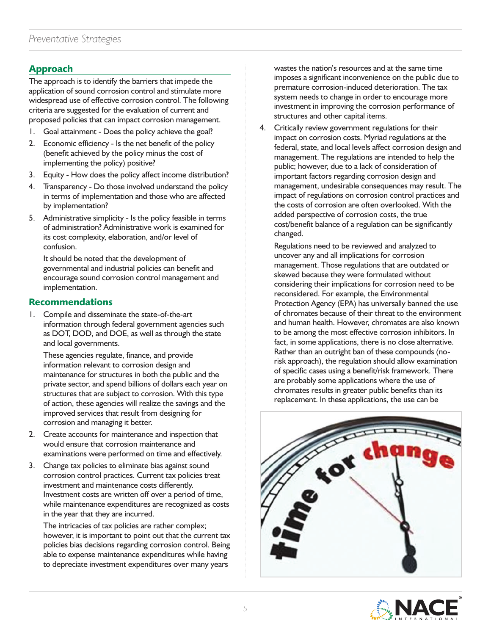#### **Approach**

The approach is to identify the barriers that impede the application of sound corrosion control and stimulate more widespread use of effective corrosion control. The following criteria are suggested for the evaluation of current and proposed policies that can impact corrosion management.

- 1. Goal attainment Does the policy achieve the goal?
- 2. Economic efficiency Is the net benefit of the policy (benefit achieved by the policy minus the cost of implementing the policy) positive?
- 3. Equity How does the policy affect income distribution?
- 4. Transparency Do those involved understand the policy in terms of implementation and those who are affected by implementation?
- 5. Administrative simplicity Is the policy feasible in terms of administration? Administrative work is examined for its cost complexity, elaboration, and/or level of confusion.

It should be noted that the development of governmental and industrial policies can benefit and encourage sound corrosion control management and implementation.

#### **Recommendations**

1. Compile and disseminate the state-of-the-art information through federal government agencies such as DOT, DOD, and DOE, as well as through the state and local governments.

These agencies regulate, finance, and provide information relevant to corrosion design and maintenance for structures in both the public and the private sector, and spend billions of dollars each year on structures that are subject to corrosion. With this type of action, these agencies will realize the savings and the improved services that result from designing for corrosion and managing it better.

- 2. Create accounts for maintenance and inspection that would ensure that corrosion maintenance and examinations were performed on time and effectively.
- 3. Change tax policies to eliminate bias against sound corrosion control practices. Current tax policies treat investment and maintenance costs differently. Investment costs are written off over a period of time, while maintenance expenditures are recognized as costs in the year that they are incurred.

The intricacies of tax policies are rather complex; however, it is important to point out that the current tax policies bias decisions regarding corrosion control. Being able to expense maintenance expenditures while having to depreciate investment expenditures over many years

wastes the nation's resources and at the same time imposes a significant inconvenience on the public due to premature corrosion-induced deterioration. The tax system needs to change in order to encourage more investment in improving the corrosion performance of structures and other capital items.

4. Critically review government regulations for their impact on corrosion costs. Myriad regulations at the federal, state, and local levels affect corrosion design and management. The regulations are intended to help the public; however, due to a lack of consideration of important factors regarding corrosion design and management, undesirable consequences may result. The impact of regulations on corrosion control practices and the costs of corrosion are often overlooked. With the added perspective of corrosion costs, the true cost/benefit balance of a regulation can be significantly changed.

Regulations need to be reviewed and analyzed to uncover any and all implications for corrosion management. Those regulations that are outdated or skewed because they were formulated without considering their implications for corrosion need to be reconsidered. For example, the Environmental Protection Agency (EPA) has universally banned the use of chromates because of their threat to the environment and human health. However, chromates are also known to be among the most effective corrosion inhibitors. In fact, in some applications, there is no close alternative. Rather than an outright ban of these compounds (norisk approach), the regulation should allow examination of specific cases using a benefit/risk framework. There are probably some applications where the use of chromates results in greater public benefits than its replacement. In these applications, the use can be



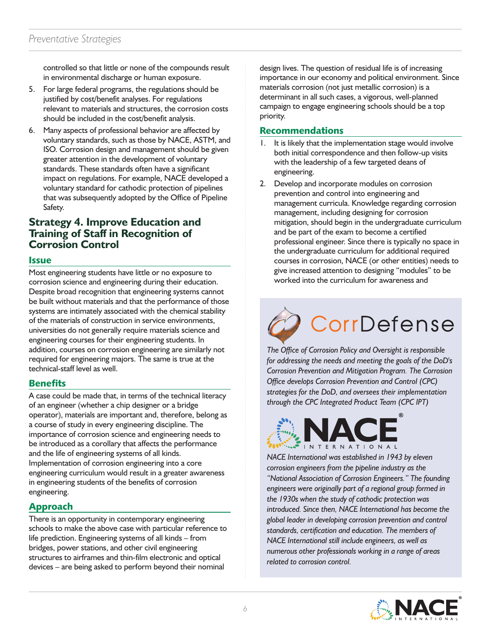controlled so that little or none of the compounds result in environmental discharge or human exposure.

- 5. For large federal programs, the regulations should be justified by cost/benefit analyses. For regulations relevant to materials and structures, the corrosion costs should be included in the cost/benefit analysis.
- 6. Many aspects of professional behavior are affected by voluntary standards, such as those by NACE, ASTM, and ISO. Corrosion design and management should be given greater attention in the development of voluntary standards. These standards often have a significant impact on regulations. For example, NACE developed a voluntary standard for cathodic protection of pipelines that was subsequently adopted by the Office of Pipeline Safety.

#### **Strategy 4. Improve Education and Training of Staff in Recognition of Corrosion Control**

#### **Issue**

Most engineering students have little or no exposure to corrosion science and engineering during their education. Despite broad recognition that engineering systems cannot be built without materials and that the performance of those systems are intimately associated with the chemical stability of the materials of construction in service environments, universities do not generally require materials science and engineering courses for their engineering students. In addition, courses on corrosion engineering are similarly not required for engineering majors. The same is true at the technical-staff level as well.

#### **Benefits**

A case could be made that, in terms of the technical literacy of an engineer (whether a chip designer or a bridge operator), materials are important and, therefore, belong as a course of study in every engineering discipline. The importance of corrosion science and engineering needs to be introduced as a corollary that affects the performance and the life of engineering systems of all kinds. Implementation of corrosion engineering into a core engineering curriculum would result in a greater awareness in engineering students of the benefits of corrosion engineering.

#### **Approach**

There is an opportunity in contemporary engineering schools to make the above case with particular reference to life prediction. Engineering systems of all kinds – from bridges, power stations, and other civil engineering structures to airframes and thin-film electronic and optical devices – are being asked to perform beyond their nominal

design lives. The question of residual life is of increasing importance in our economy and political environment. Since materials corrosion (not just metallic corrosion) is a determinant in all such cases, a vigorous, well-planned campaign to engage engineering schools should be a top priority.

#### **Recommendations**

- It is likely that the implementation stage would involve both initial correspondence and then follow-up visits with the leadership of a few targeted deans of engineering.
- 2. Develop and incorporate modules on corrosion prevention and control into engineering and management curricula. Knowledge regarding corrosion management, including designing for corrosion mitigation, should begin in the undergraduate curriculum and be part of the exam to become a certified professional engineer. Since there is typically no space in the undergraduate curriculum for additional required courses in corrosion, NACE (or other entities) needs to give increased attention to designing "modules" to be worked into the curriculum for awareness and

## CorrDefense

*The Office of Corrosion Policy and Oversight is responsible for addressing the needs and meeting the goals of the DoD's Corrosion Prevention and Mitigation Program. The Corrosion Office develops Corrosion Prevention and Control (CPC) strategies for the DoD, and oversees their implementation through the CPC Integrated Product Team (CPC IPT)*



*NACE International was established in 1943 by eleven corrosion engineers from the pipeline industry as the "National Association of Corrosion Engineers." The founding engineers were originally part of a regional group formed in the 1930s when the study of cathodic protection was introduced. Since then, NACE International has become the global leader in developing corrosion prevention and control standards, certification and education. The members of NACE International still include engineers, as well as numerous other professionals working in a range of areas related to corrosion control.*

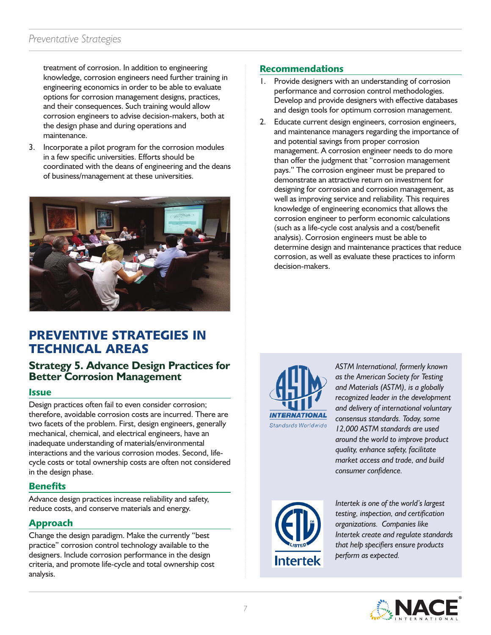#### *Preventative Strategies*

treatment of corrosion. In addition to engineering knowledge, corrosion engineers need further training in engineering economics in order to be able to evaluate options for corrosion management designs, practices, and their consequences. Such training would allow corrosion engineers to advise decision-makers, both at the design phase and during operations and maintenance.

3. Incorporate a pilot program for the corrosion modules in a few specific universities. Efforts should be coordinated with the deans of engineering and the deans of business/management at these universities.



#### **PREVENTIVE STRATEGIES IN TECHNICAL AREAS**

#### **Strategy 5. Advance Design Practices for Better Corrosion Management**

#### **Issue**

Design practices often fail to even consider corrosion; therefore, avoidable corrosion costs are incurred. There are two facets of the problem. First, design engineers, generally mechanical, chemical, and electrical engineers, have an inadequate understanding of materials/environmental interactions and the various corrosion modes. Second, lifecycle costs or total ownership costs are often not considered in the design phase.

#### **Benefits**

Advance design practices increase reliability and safety, reduce costs, and conserve materials and energy.

#### **Approach**

Change the design paradigm. Make the currently "best practice" corrosion control technology available to the designers. Include corrosion performance in the design criteria, and promote life-cycle and total ownership cost analysis.

#### **Recommendations**

- 1. Provide designers with an understanding of corrosion performance and corrosion control methodologies. Develop and provide designers with effective databases and design tools for optimum corrosion management.
- 2. Educate current design engineers, corrosion engineers, and maintenance managers regarding the importance of and potential savings from proper corrosion management. A corrosion engineer needs to do more than offer the judgment that "corrosion management pays." The corrosion engineer must be prepared to demonstrate an attractive return on investment for designing for corrosion and corrosion management, as well as improving service and reliability. This requires knowledge of engineering economics that allows the corrosion engineer to perform economic calculations (such as a life-cycle cost analysis and a cost/benefit analysis). Corrosion engineers must be able to determine design and maintenance practices that reduce corrosion, as well as evaluate these practices to inform decision-makers.



*ASTM International, formerly known as the American Society for Testing and Materials (ASTM), is a globally recognized leader in the development and delivery of international voluntary consensus standards. Today, some 12,000 ASTM standards are used around the world to improve product quality, enhance safety, facilitate market access and trade, and build consumer confidence.*



*Intertek is one of the world's largest testing, inspection, and certification organizations. Companies like Intertek create and regulate standards that help specifiers ensure products perform as expected.*

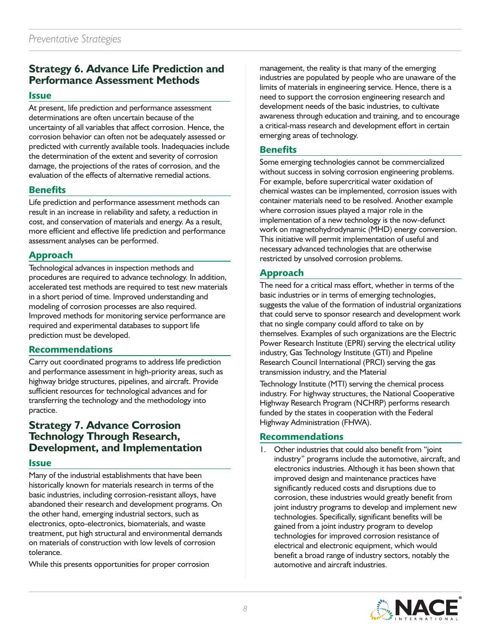#### **Strategy 6. Advance Life Prediction and Performance Assessment Methods**

#### **Issue**

At present, life prediction and performance assessment determinations are often uncertain because of the uncertainty of all variables that affect corrosion. Hence, the corrosion behavior can often not be adequately assessed or predicted with currently available tools. Inadequacies include the determination of the extent and severity of corrosion damage, the projections of the rates of corrosion, and the evaluation of the effects of alternative remedial actions.

#### **Benefits**

Life prediction and performance assessment methods can result in an increase in reliability and safety, a reduction in cost, and conservation of materials and energy. As a result, more efficient and effective life prediction and performance assessment analyses can be performed.

#### **Approach**

Technological advances in inspection methods and procedures are required to advance technology. In addition, accelerated test methods are required to test new materials in a short period of time. Improved understanding and modeling of corrosion processes are also required. Improved methods for monitoring service performance are required and experimental databases to support life prediction must be developed.

#### **Recommendations**

Carry out coordinated programs to address life prediction and performance assessment in high-priority areas, such as highway bridge structures, pipelines, and aircraft. Provide sufficient resources for technological advances and for transferring the technology and the methodology into practice.

#### **Strategy 7. Advance Corrosion Technology Through Research, Development, and Implementation**

#### **Issue**

Many of the industrial establishments that have been historically known for materials research in terms of the basic industries, including corrosion-resistant alloys, have abandoned their research and development programs. On the other hand, emerging industrial sectors, such as electronics, opto-electronics, biomaterials, and waste treatment, put high structural and environmental demands on materials of construction with low levels of corrosion tolerance.

While this presents opportunities for proper corrosion

management, the reality is that many of the emerging industries are populated by people who are unaware of the limits of materials in engineering service. Hence, there is a need to support the corrosion engineering research and development needs of the basic industries, to cultivate awareness through education and training, and to encourage a critical-mass research and development effort in certain emerging areas of technology.

#### **Benefits**

Some emerging technologies cannot be commercialized without success in solving corrosion engineering problems. For example, before supercritical water oxidation of chemical wastes can be implemented, corrosion issues with container materials need to be resolved. Another example where corrosion issues played a major role in the implementation of a new technology is the now-defunct work on magnetohydrodynamic (MHD) energy conversion. This initiative will permit implementation of useful and necessary advanced technologies that are otherwise restricted by unsolved corrosion problems.

#### **Approach**

The need for a critical mass effort, whether in terms of the basic industries or in terms of emerging technologies, suggests the value of the formation of industrial organizations that could serve to sponsor research and development work that no single company could afford to take on by themselves. Examples of such organizations are the Electric Power Research Institute (EPRI) serving the electrical utility industry, Gas Technology Institute (GTI) and Pipeline Research Council International (PRCI) serving the gas transmission industry, and the Material

Technology Institute (MTI) serving the chemical process industry. For highway structures, the National Cooperative Highway Research Program (NCHRP) performs research funded by the states in cooperation with the Federal Highway Administration (FHWA).

#### **Recommendations**

Other industries that could also benefit from "joint industry" programs include the automotive, aircraft, and electronics industries. Although it has been shown that improved design and maintenance practices have significantly reduced costs and disruptions due to corrosion, these industries would greatly benefit from joint industry programs to develop and implement new technologies. Specifically, significant benefits will be gained from a joint industry program to develop technologies for improved corrosion resistance of electrical and electronic equipment, which would benefit a broad range of industry sectors, notably the automotive and aircraft industries.

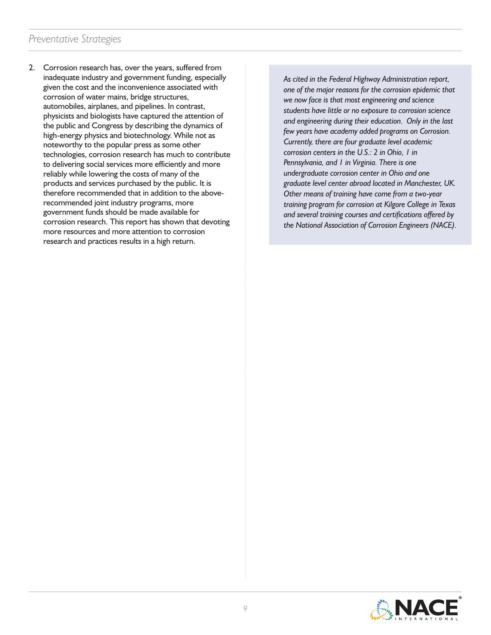2. Corrosion research has, over the years, suffered from inadequate industry and government funding, especially given the cost and the inconvenience associated with corrosion of water mains, bridge structures, automobiles, airplanes, and pipelines. In contrast, physicists and biologists have captured the attention of the public and Congress by describing the dynamics of high-energy physics and biotechnology. While not as noteworthy to the popular press as some other technologies, corrosion research has much to contribute to delivering social services more efficiently and more reliably while lowering the costs of many of the products and services purchased by the public. It is therefore recommended that in addition to the aboverecommended joint industry programs, more government funds should be made available for corrosion research. This report has shown that devoting more resources and more attention to corrosion research and practices results in a high return.

*As cited in the Federal Highway Administration report, one of the major reasons for the corrosion epidemic that we now face is that most engineering and science students have little or no exposure to corrosion science and engineering during their education. Only in the last few years have academy added programs on Corrosion. Currently, there are four graduate level academic corrosion centers in the U.S.: 2 in Ohio, 1 in Pennsylvania, and 1 in Virginia. There is one undergraduate corrosion center in Ohio and one graduate level center abroad located in Manchester, UK. Other means of training have come from a two-year training program for corrosion at Kilgore College in Texas and several training courses and certifications offered by the National Association of Corrosion Engineers (NACE).*